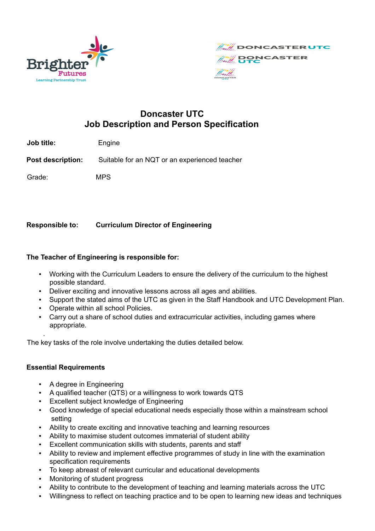



# **Doncaster UTC Job Description and Person Specification**

**Job title:** Engine

**Post description:** Suitable for an NQT or an experienced teacher

Grade: MPS

## **Responsible to: Curriculum Director of Engineering**

## **The Teacher of Engineering is responsible for:**

- Working with the Curriculum Leaders to ensure the delivery of the curriculum to the highest possible standard.
- Deliver exciting and innovative lessons across all ages and abilities.
- Support the stated aims of the UTC as given in the Staff Handbook and UTC Development Plan.
- Operate within all school Policies.
- Carry out a share of school duties and extracurricular activities, including games where appropriate.

The key tasks of the role involve undertaking the duties detailed below.

#### **Essential Requirements**

.

- A degree in Engineering
- A qualified teacher (QTS) or a willingness to work towards QTS
- Excellent subject knowledge of Engineering
- Good knowledge of special educational needs especially those within a mainstream school setting
- Ability to create exciting and innovative teaching and learning resources
- Ability to maximise student outcomes immaterial of student ability
- Excellent communication skills with students, parents and staff
- Ability to review and implement effective programmes of study in line with the examination specification requirements
- To keep abreast of relevant curricular and educational developments
- Monitoring of student progress
- Ability to contribute to the development of teaching and learning materials across the UTC
- Willingness to reflect on teaching practice and to be open to learning new ideas and techniques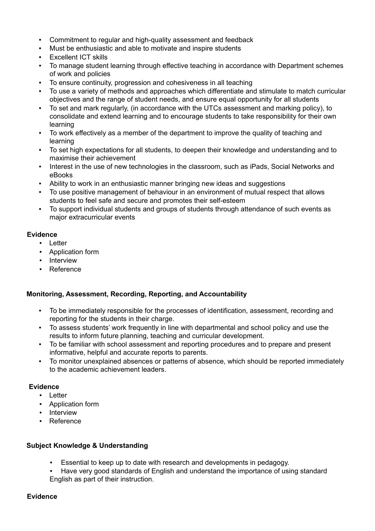- Commitment to regular and high-quality assessment and feedback
- Must be enthusiastic and able to motivate and inspire students
- Excellent ICT skills
- To manage student learning through effective teaching in accordance with Department schemes of work and policies
- To ensure continuity, progression and cohesiveness in all teaching
- To use a variety of methods and approaches which differentiate and stimulate to match curricular objectives and the range of student needs, and ensure equal opportunity for all students
- To set and mark regularly, (in accordance with the UTCs assessment and marking policy), to consolidate and extend learning and to encourage students to take responsibility for their own learning
- To work effectively as a member of the department to improve the quality of teaching and learning
- To set high expectations for all students, to deepen their knowledge and understanding and to maximise their achievement
- Interest in the use of new technologies in the classroom, such as iPads, Social Networks and eBooks
- Ability to work in an enthusiastic manner bringing new ideas and suggestions
- To use positive management of behaviour in an environment of mutual respect that allows students to feel safe and secure and promotes their self-esteem
- To support individual students and groups of students through attendance of such events as major extracurricular events

## **Evidence**

- Letter
- Application form
- Interview
- Reference

## **Monitoring, Assessment, Recording, Reporting, and Accountability**

- To be immediately responsible for the processes of identification, assessment, recording and reporting for the students in their charge.
- To assess students' work frequently in line with departmental and school policy and use the results to inform future planning, teaching and curricular development.
- To be familiar with school assessment and reporting procedures and to prepare and present informative, helpful and accurate reports to parents.
- To monitor unexplained absences or patterns of absence, which should be reported immediately to the academic achievement leaders.

#### **Evidence**

- Letter
- Application form
- Interview
- Reference

#### **Subject Knowledge & Understanding**

- Essential to keep up to date with research and developments in pedagogy.
- Have very good standards of English and understand the importance of using standard English as part of their instruction.

#### **Evidence**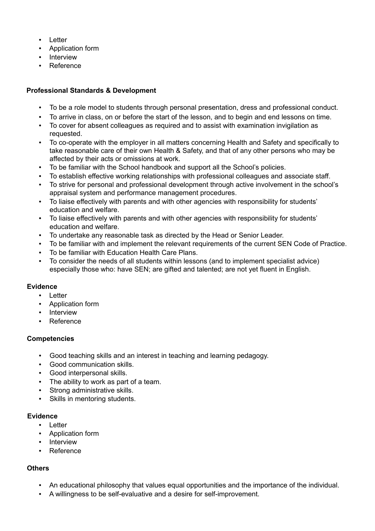- Letter
- Application form
- Interview
- **Reference**

## **Professional Standards & Development**

- To be a role model to students through personal presentation, dress and professional conduct.
- To arrive in class, on or before the start of the lesson, and to begin and end lessons on time.
- To cover for absent colleagues as required and to assist with examination invigilation as requested.
- To co-operate with the employer in all matters concerning Health and Safety and specifically to take reasonable care of their own Health & Safety, and that of any other persons who may be affected by their acts or omissions at work.
- To be familiar with the School handbook and support all the School's policies.
- To establish effective working relationships with professional colleagues and associate staff.
- To strive for personal and professional development through active involvement in the school's appraisal system and performance management procedures.
- To liaise effectively with parents and with other agencies with responsibility for students' education and welfare.
- To liaise effectively with parents and with other agencies with responsibility for students' education and welfare.
- To undertake any reasonable task as directed by the Head or Senior Leader.
- To be familiar with and implement the relevant requirements of the current SEN Code of Practice.
- To be familiar with Education Health Care Plans.
- To consider the needs of all students within lessons (and to implement specialist advice) especially those who: have SEN; are gifted and talented; are not yet fluent in English.

#### **Evidence**

- Letter
- Application form
- Interview
- Reference

#### **Competencies**

- Good teaching skills and an interest in teaching and learning pedagogy.
- Good communication skills.
- Good interpersonal skills.
- The ability to work as part of a team.
- Strong administrative skills.
- Skills in mentoring students.

#### **Evidence**

- Letter
- Application form
- Interview
- Reference

## **Others**

- An educational philosophy that values equal opportunities and the importance of the individual.
- A willingness to be self-evaluative and a desire for self-improvement.